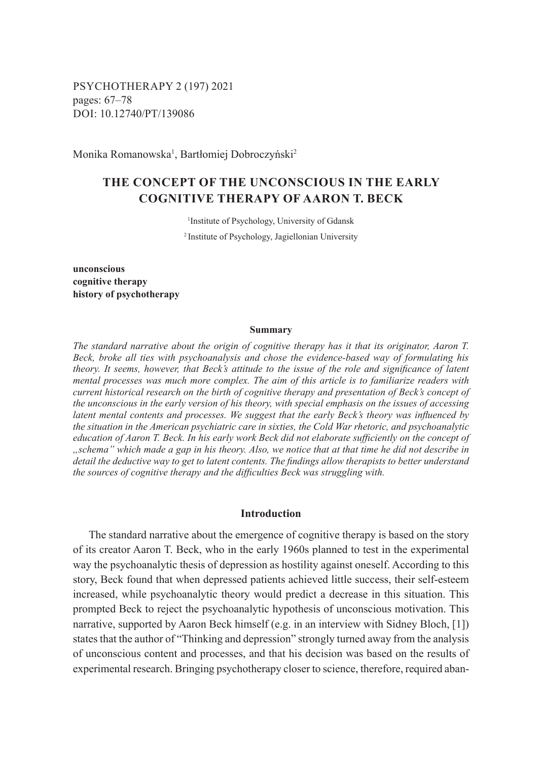PSYCHOTHERAPY 2 (197) 2021 pages: 67–78 DOI: 10.12740/PT/139086

Monika Romanowska<sup>1</sup>, Bartłomiej Dobroczyński<sup>2</sup>

# **THE CONCEPT OF THE UNCONSCIOUS IN THE EARLY COGNITIVE THERAPY OF AARON T. BECK**

1 Institute of Psychology, University of Gdansk <sup>2</sup>Institute of Psychology, Jagiellonian University

**unconscious cognitive therapy history of psychotherapy**

#### **Summary**

*The standard narrative about the origin of cognitive therapy has it that its originator, Aaron T. Beck, broke all ties with psychoanalysis and chose the evidence-based way of formulating his theory. It seems, however, that Beck's attitude to the issue of the role and significance of latent mental processes was much more complex. The aim of this article is to familiarize readers with current historical research on the birth of cognitive therapy and presentation of Beck's concept of the unconscious in the early version of his theory, with special emphasis on the issues of accessing latent mental contents and processes. We suggest that the early Beck's theory was influenced by the situation in the American psychiatric care in sixties, the Cold War rhetoric, and psychoanalytic education of Aaron T. Beck. In his early work Beck did not elaborate sufficiently on the concept of "schema" which made a gap in his theory. Also, we notice that at that time he did not describe in detail the deductive way to get to latent contents. The findings allow therapists to better understand the sources of cognitive therapy and the difficulties Beck was struggling with.*

## **Introduction**

The standard narrative about the emergence of cognitive therapy is based on the story of its creator Aaron T. Beck, who in the early 1960s planned to test in the experimental way the psychoanalytic thesis of depression as hostility against oneself. According to this story, Beck found that when depressed patients achieved little success, their self-esteem increased, while psychoanalytic theory would predict a decrease in this situation. This prompted Beck to reject the psychoanalytic hypothesis of unconscious motivation. This narrative, supported by Aaron Beck himself (e.g. in an interview with Sidney Bloch, [1]) states that the author of "Thinking and depression" strongly turned away from the analysis of unconscious content and processes, and that his decision was based on the results of experimental research. Bringing psychotherapy closer to science, therefore, required aban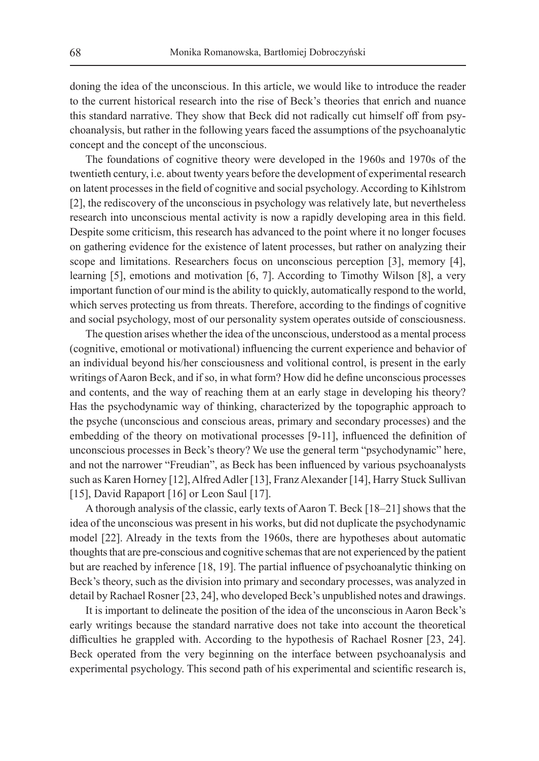doning the idea of the unconscious. In this article, we would like to introduce the reader to the current historical research into the rise of Beck's theories that enrich and nuance this standard narrative. They show that Beck did not radically cut himself off from psychoanalysis, but rather in the following years faced the assumptions of the psychoanalytic concept and the concept of the unconscious.

The foundations of cognitive theory were developed in the 1960s and 1970s of the twentieth century, i.e. about twenty years before the development of experimental research on latent processes in the field of cognitive and social psychology. According to Kihlstrom [2], the rediscovery of the unconscious in psychology was relatively late, but nevertheless research into unconscious mental activity is now a rapidly developing area in this field. Despite some criticism, this research has advanced to the point where it no longer focuses on gathering evidence for the existence of latent processes, but rather on analyzing their scope and limitations. Researchers focus on unconscious perception [3], memory [4], learning [5], emotions and motivation [6, 7]. According to Timothy Wilson [8], a very important function of our mind is the ability to quickly, automatically respond to the world, which serves protecting us from threats. Therefore, according to the findings of cognitive and social psychology, most of our personality system operates outside of consciousness.

The question arises whether the idea of the unconscious, understood as a mental process (cognitive, emotional or motivational) influencing the current experience and behavior of an individual beyond his/her consciousness and volitional control, is present in the early writings of Aaron Beck, and if so, in what form? How did he define unconscious processes and contents, and the way of reaching them at an early stage in developing his theory? Has the psychodynamic way of thinking, characterized by the topographic approach to the psyche (unconscious and conscious areas, primary and secondary processes) and the embedding of the theory on motivational processes [9-11], influenced the definition of unconscious processes in Beck's theory? We use the general term "psychodynamic" here, and not the narrower "Freudian", as Beck has been influenced by various psychoanalysts such as Karen Horney [12], Alfred Adler [13], Franz Alexander [14], Harry Stuck Sullivan [15], David Rapaport [16] or Leon Saul [17].

A thorough analysis of the classic, early texts of Aaron T. Beck [18–21] shows that the idea of the unconscious was present in his works, but did not duplicate the psychodynamic model [22]. Already in the texts from the 1960s, there are hypotheses about automatic thoughts that are pre-conscious and cognitive schemas that are not experienced by the patient but are reached by inference [18, 19]. The partial influence of psychoanalytic thinking on Beck's theory, such as the division into primary and secondary processes, was analyzed in detail by Rachael Rosner [23, 24], who developed Beck's unpublished notes and drawings.

It is important to delineate the position of the idea of the unconscious in Aaron Beck's early writings because the standard narrative does not take into account the theoretical difficulties he grappled with. According to the hypothesis of Rachael Rosner [23, 24]. Beck operated from the very beginning on the interface between psychoanalysis and experimental psychology. This second path of his experimental and scientific research is,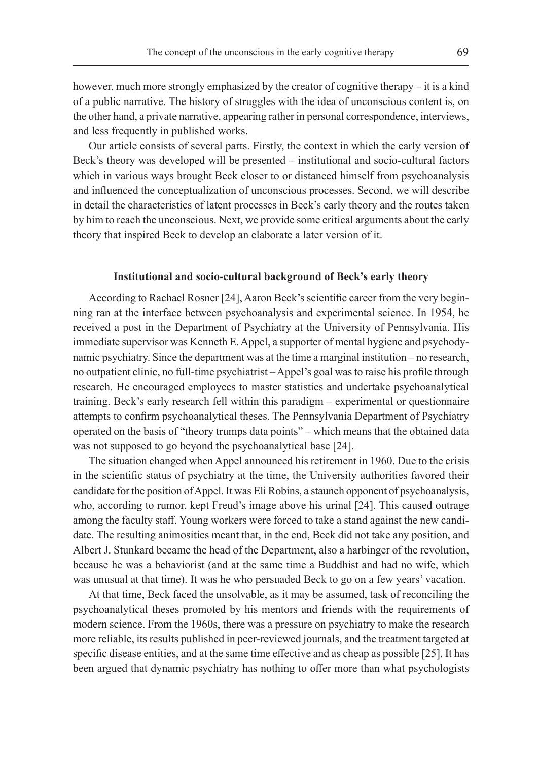however, much more strongly emphasized by the creator of cognitive therapy – it is a kind of a public narrative. The history of struggles with the idea of unconscious content is, on the other hand, a private narrative, appearing rather in personal correspondence, interviews, and less frequently in published works.

Our article consists of several parts. Firstly, the context in which the early version of Beck's theory was developed will be presented – institutional and socio-cultural factors which in various ways brought Beck closer to or distanced himself from psychoanalysis and influenced the conceptualization of unconscious processes. Second, we will describe in detail the characteristics of latent processes in Beck's early theory and the routes taken by him to reach the unconscious. Next, we provide some critical arguments about the early theory that inspired Beck to develop an elaborate a later version of it.

#### **Institutional and socio-cultural background of Beck's early theory**

According to Rachael Rosner [24], Aaron Beck's scientific career from the very beginning ran at the interface between psychoanalysis and experimental science. In 1954, he received a post in the Department of Psychiatry at the University of Pennsylvania. His immediate supervisor was Kenneth E. Appel, a supporter of mental hygiene and psychodynamic psychiatry. Since the department was at the time a marginal institution – no research, no outpatient clinic, no full-time psychiatrist – Appel's goal was to raise his profile through research. He encouraged employees to master statistics and undertake psychoanalytical training. Beck's early research fell within this paradigm – experimental or questionnaire attempts to confirm psychoanalytical theses. The Pennsylvania Department of Psychiatry operated on the basis of "theory trumps data points" – which means that the obtained data was not supposed to go beyond the psychoanalytical base [24].

The situation changed when Appel announced his retirement in 1960. Due to the crisis in the scientific status of psychiatry at the time, the University authorities favored their candidate for the position of Appel. It was Eli Robins, a staunch opponent of psychoanalysis, who, according to rumor, kept Freud's image above his urinal [24]. This caused outrage among the faculty staff. Young workers were forced to take a stand against the new candidate. The resulting animosities meant that, in the end, Beck did not take any position, and Albert J. Stunkard became the head of the Department, also a harbinger of the revolution, because he was a behaviorist (and at the same time a Buddhist and had no wife, which was unusual at that time). It was he who persuaded Beck to go on a few years' vacation.

At that time, Beck faced the unsolvable, as it may be assumed, task of reconciling the psychoanalytical theses promoted by his mentors and friends with the requirements of modern science. From the 1960s, there was a pressure on psychiatry to make the research more reliable, its results published in peer-reviewed journals, and the treatment targeted at specific disease entities, and at the same time effective and as cheap as possible [25]. It has been argued that dynamic psychiatry has nothing to offer more than what psychologists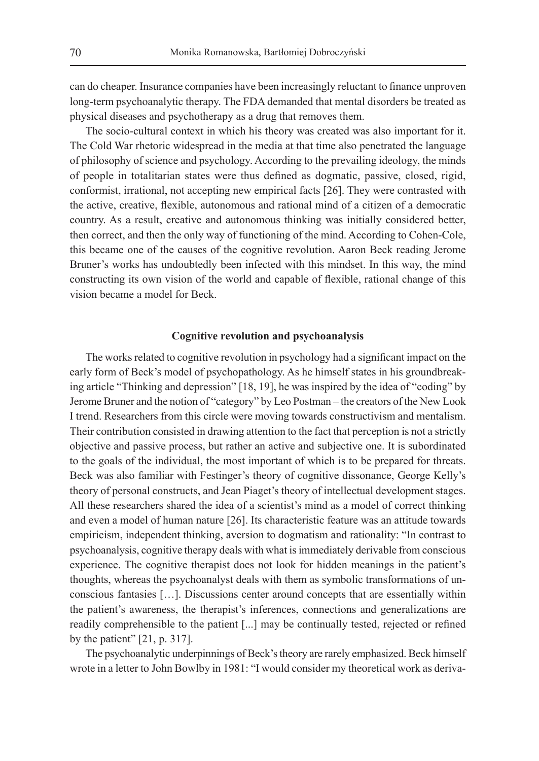can do cheaper. Insurance companies have been increasingly reluctant to finance unproven long-term psychoanalytic therapy. The FDA demanded that mental disorders be treated as physical diseases and psychotherapy as a drug that removes them.

The socio-cultural context in which his theory was created was also important for it. The Cold War rhetoric widespread in the media at that time also penetrated the language of philosophy of science and psychology. According to the prevailing ideology, the minds of people in totalitarian states were thus defined as dogmatic, passive, closed, rigid, conformist, irrational, not accepting new empirical facts [26]. They were contrasted with the active, creative, flexible, autonomous and rational mind of a citizen of a democratic country. As a result, creative and autonomous thinking was initially considered better, then correct, and then the only way of functioning of the mind. According to Cohen-Cole, this became one of the causes of the cognitive revolution. Aaron Beck reading Jerome Bruner's works has undoubtedly been infected with this mindset. In this way, the mind constructing its own vision of the world and capable of flexible, rational change of this vision became a model for Beck.

## **Cognitive revolution and psychoanalysis**

The works related to cognitive revolution in psychology had a significant impact on the early form of Beck's model of psychopathology. As he himself states in his groundbreaking article "Thinking and depression" [18, 19], he was inspired by the idea of "coding" by Jerome Bruner and the notion of "category" by Leo Postman – the creators of the New Look I trend. Researchers from this circle were moving towards constructivism and mentalism. Their contribution consisted in drawing attention to the fact that perception is not a strictly objective and passive process, but rather an active and subjective one. It is subordinated to the goals of the individual, the most important of which is to be prepared for threats. Beck was also familiar with Festinger's theory of cognitive dissonance, George Kelly's theory of personal constructs, and Jean Piaget's theory of intellectual development stages. All these researchers shared the idea of a scientist's mind as a model of correct thinking and even a model of human nature [26]. Its characteristic feature was an attitude towards empiricism, independent thinking, aversion to dogmatism and rationality: "In contrast to psychoanalysis, cognitive therapy deals with what is immediately derivable from conscious experience. The cognitive therapist does not look for hidden meanings in the patient's thoughts, whereas the psychoanalyst deals with them as symbolic transformations of unconscious fantasies […]. Discussions center around concepts that are essentially within the patient's awareness, the therapist's inferences, connections and generalizations are readily comprehensible to the patient [...] may be continually tested, rejected or refined by the patient" [21, p. 317].

The psychoanalytic underpinnings of Beck's theory are rarely emphasized. Beck himself wrote in a letter to John Bowlby in 1981: "I would consider my theoretical work as deriva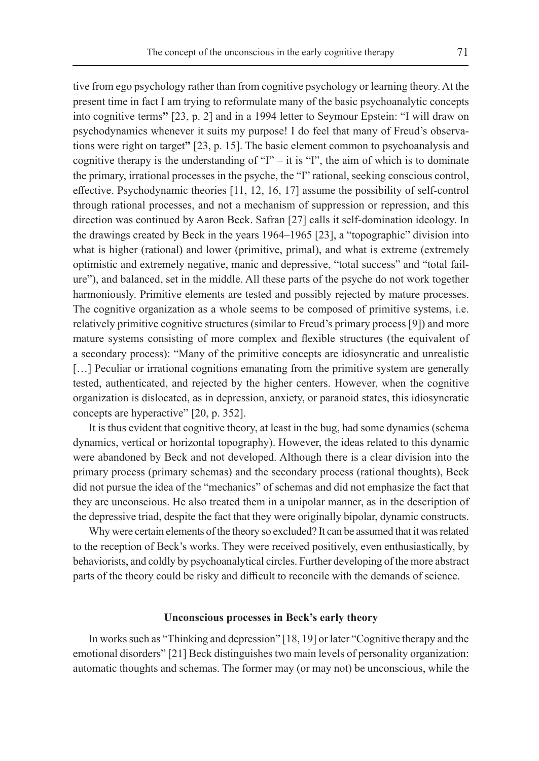tive from ego psychology rather than from cognitive psychology or learning theory. At the present time in fact I am trying to reformulate many of the basic psychoanalytic concepts into cognitive terms**"** [23, p. 2] and in a 1994 letter to Seymour Epstein: "I will draw on psychodynamics whenever it suits my purpose! I do feel that many of Freud's observations were right on target**"** [23, p. 15]. The basic element common to psychoanalysis and cognitive therapy is the understanding of "I" – it is "I", the aim of which is to dominate the primary, irrational processes in the psyche, the "I" rational, seeking conscious control, effective. Psychodynamic theories [11, 12, 16, 17] assume the possibility of self-control through rational processes, and not a mechanism of suppression or repression, and this direction was continued by Aaron Beck. Safran [27] calls it self-domination ideology. In the drawings created by Beck in the years 1964–1965 [23], a "topographic" division into what is higher (rational) and lower (primitive, primal), and what is extreme (extremely optimistic and extremely negative, manic and depressive, "total success" and "total failure"), and balanced, set in the middle. All these parts of the psyche do not work together harmoniously. Primitive elements are tested and possibly rejected by mature processes. The cognitive organization as a whole seems to be composed of primitive systems, i.e. relatively primitive cognitive structures (similar to Freud's primary process [9]) and more mature systems consisting of more complex and flexible structures (the equivalent of a secondary process): "Many of the primitive concepts are idiosyncratic and unrealistic [...] Peculiar or irrational cognitions emanating from the primitive system are generally tested, authenticated, and rejected by the higher centers. However, when the cognitive organization is dislocated, as in depression, anxiety, or paranoid states, this idiosyncratic concepts are hyperactive" [20, p. 352].

It is thus evident that cognitive theory, at least in the bug, had some dynamics (schema dynamics, vertical or horizontal topography). However, the ideas related to this dynamic were abandoned by Beck and not developed. Although there is a clear division into the primary process (primary schemas) and the secondary process (rational thoughts), Beck did not pursue the idea of the "mechanics" of schemas and did not emphasize the fact that they are unconscious. He also treated them in a unipolar manner, as in the description of the depressive triad, despite the fact that they were originally bipolar, dynamic constructs.

Why were certain elements of the theory so excluded? It can be assumed that it was related to the reception of Beck's works. They were received positively, even enthusiastically, by behaviorists, and coldly by psychoanalytical circles. Further developing of the more abstract parts of the theory could be risky and difficult to reconcile with the demands of science.

## **Unconscious processes in Beck's early theory**

In works such as "Thinking and depression" [18, 19] or later "Cognitive therapy and the emotional disorders" [21] Beck distinguishes two main levels of personality organization: automatic thoughts and schemas. The former may (or may not) be unconscious, while the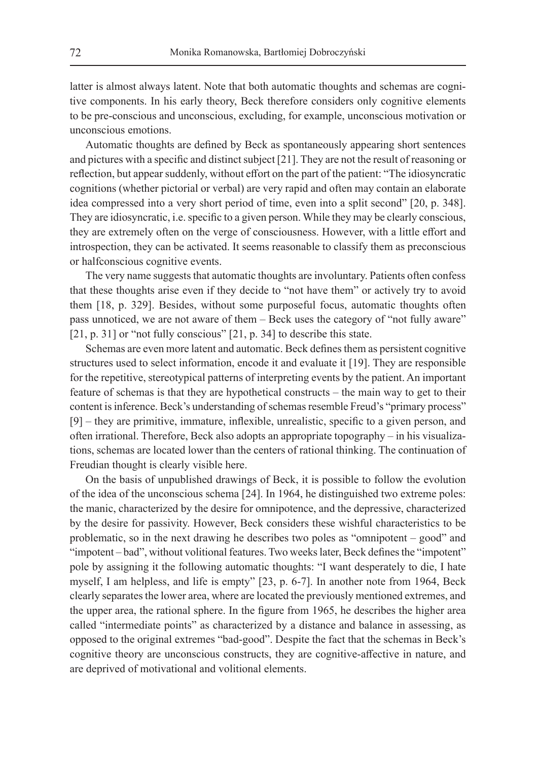latter is almost always latent. Note that both automatic thoughts and schemas are cognitive components. In his early theory, Beck therefore considers only cognitive elements to be pre-conscious and unconscious, excluding, for example, unconscious motivation or unconscious emotions.

Automatic thoughts are defined by Beck as spontaneously appearing short sentences and pictures with a specific and distinct subject [21]. They are not the result of reasoning or reflection, but appear suddenly, without effort on the part of the patient: "The idiosyncratic cognitions (whether pictorial or verbal) are very rapid and often may contain an elaborate idea compressed into a very short period of time, even into a split second" [20, p. 348]. They are idiosyncratic, i.e. specific to a given person. While they may be clearly conscious, they are extremely often on the verge of consciousness. However, with a little effort and introspection, they can be activated. It seems reasonable to classify them as preconscious or halfconscious cognitive events.

The very name suggests that automatic thoughts are involuntary. Patients often confess that these thoughts arise even if they decide to "not have them" or actively try to avoid them [18, p. 329]. Besides, without some purposeful focus, automatic thoughts often pass unnoticed, we are not aware of them – Beck uses the category of "not fully aware" [21, p. 31] or "not fully conscious" [21, p. 34] to describe this state.

Schemas are even more latent and automatic. Beck defines them as persistent cognitive structures used to select information, encode it and evaluate it [19]. They are responsible for the repetitive, stereotypical patterns of interpreting events by the patient. An important feature of schemas is that they are hypothetical constructs – the main way to get to their content is inference. Beck's understanding of schemas resemble Freud's "primary process" [9] – they are primitive, immature, inflexible, unrealistic, specific to a given person, and often irrational. Therefore, Beck also adopts an appropriate topography – in his visualizations, schemas are located lower than the centers of rational thinking. The continuation of Freudian thought is clearly visible here.

On the basis of unpublished drawings of Beck, it is possible to follow the evolution of the idea of the unconscious schema [24]. In 1964, he distinguished two extreme poles: the manic, characterized by the desire for omnipotence, and the depressive, characterized by the desire for passivity. However, Beck considers these wishful characteristics to be problematic, so in the next drawing he describes two poles as "omnipotent – good" and "impotent – bad", without volitional features. Two weeks later, Beck defines the "impotent" pole by assigning it the following automatic thoughts: "I want desperately to die, I hate myself, I am helpless, and life is empty" [23, p. 6-7]. In another note from 1964, Beck clearly separates the lower area, where are located the previously mentioned extremes, and the upper area, the rational sphere. In the figure from 1965, he describes the higher area called "intermediate points" as characterized by a distance and balance in assessing, as opposed to the original extremes "bad-good". Despite the fact that the schemas in Beck's cognitive theory are unconscious constructs, they are cognitive-affective in nature, and are deprived of motivational and volitional elements.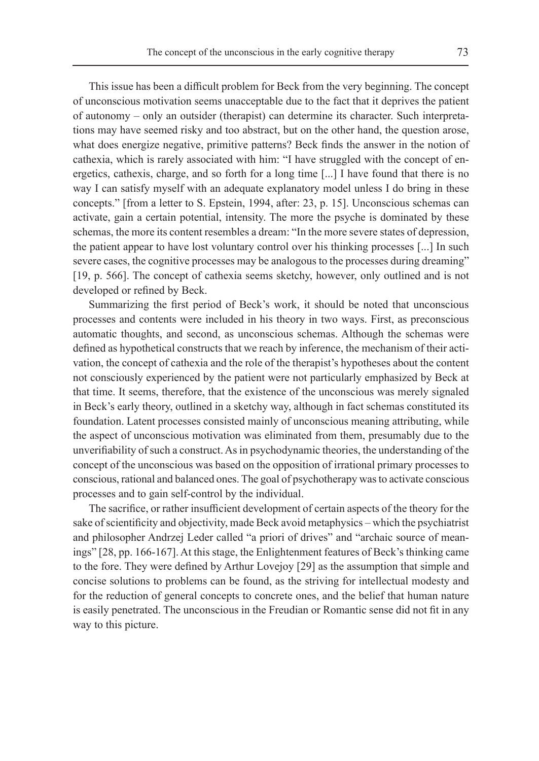This issue has been a difficult problem for Beck from the very beginning. The concept of unconscious motivation seems unacceptable due to the fact that it deprives the patient of autonomy – only an outsider (therapist) can determine its character. Such interpretations may have seemed risky and too abstract, but on the other hand, the question arose, what does energize negative, primitive patterns? Beck finds the answer in the notion of cathexia, which is rarely associated with him: "I have struggled with the concept of energetics, cathexis, charge, and so forth for a long time [...] I have found that there is no way I can satisfy myself with an adequate explanatory model unless I do bring in these concepts." [from a letter to S. Epstein, 1994, after: 23, p. 15]. Unconscious schemas can activate, gain a certain potential, intensity. The more the psyche is dominated by these schemas, the more its content resembles a dream: "In the more severe states of depression, the patient appear to have lost voluntary control over his thinking processes [...] In such severe cases, the cognitive processes may be analogous to the processes during dreaming" [19, p. 566]. The concept of cathexia seems sketchy, however, only outlined and is not developed or refined by Beck.

Summarizing the first period of Beck's work, it should be noted that unconscious processes and contents were included in his theory in two ways. First, as preconscious automatic thoughts, and second, as unconscious schemas. Although the schemas were defined as hypothetical constructs that we reach by inference, the mechanism of their activation, the concept of cathexia and the role of the therapist's hypotheses about the content not consciously experienced by the patient were not particularly emphasized by Beck at that time. It seems, therefore, that the existence of the unconscious was merely signaled in Beck's early theory, outlined in a sketchy way, although in fact schemas constituted its foundation. Latent processes consisted mainly of unconscious meaning attributing, while the aspect of unconscious motivation was eliminated from them, presumably due to the unverifiability of such a construct. As in psychodynamic theories, the understanding of the concept of the unconscious was based on the opposition of irrational primary processes to conscious, rational and balanced ones. The goal of psychotherapy was to activate conscious processes and to gain self-control by the individual.

The sacrifice, or rather insufficient development of certain aspects of the theory for the sake of scientificity and objectivity, made Beck avoid metaphysics – which the psychiatrist and philosopher Andrzej Leder called "a priori of drives" and "archaic source of meanings" [28, pp. 166-167]. At this stage, the Enlightenment features of Beck's thinking came to the fore. They were defined by Arthur Lovejoy [29] as the assumption that simple and concise solutions to problems can be found, as the striving for intellectual modesty and for the reduction of general concepts to concrete ones, and the belief that human nature is easily penetrated. The unconscious in the Freudian or Romantic sense did not fit in any way to this picture.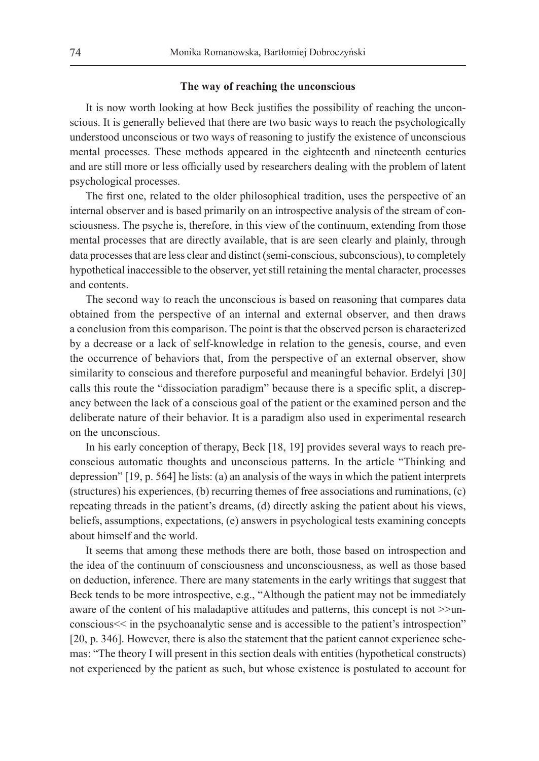#### **The way of reaching the unconscious**

It is now worth looking at how Beck justifies the possibility of reaching the unconscious. It is generally believed that there are two basic ways to reach the psychologically understood unconscious or two ways of reasoning to justify the existence of unconscious mental processes. These methods appeared in the eighteenth and nineteenth centuries and are still more or less officially used by researchers dealing with the problem of latent psychological processes.

The first one, related to the older philosophical tradition, uses the perspective of an internal observer and is based primarily on an introspective analysis of the stream of consciousness. The psyche is, therefore, in this view of the continuum, extending from those mental processes that are directly available, that is are seen clearly and plainly, through data processes that are less clear and distinct (semi-conscious, subconscious), to completely hypothetical inaccessible to the observer, yet still retaining the mental character, processes and contents.

The second way to reach the unconscious is based on reasoning that compares data obtained from the perspective of an internal and external observer, and then draws a conclusion from this comparison. The point is that the observed person is characterized by a decrease or a lack of self-knowledge in relation to the genesis, course, and even the occurrence of behaviors that, from the perspective of an external observer, show similarity to conscious and therefore purposeful and meaningful behavior. Erdelyi [30] calls this route the "dissociation paradigm" because there is a specific split, a discrepancy between the lack of a conscious goal of the patient or the examined person and the deliberate nature of their behavior. It is a paradigm also used in experimental research on the unconscious.

In his early conception of therapy, Beck [18, 19] provides several ways to reach preconscious automatic thoughts and unconscious patterns. In the article "Thinking and depression" [19, p. 564] he lists: (a) an analysis of the ways in which the patient interprets (structures) his experiences, (b) recurring themes of free associations and ruminations, (c) repeating threads in the patient's dreams, (d) directly asking the patient about his views, beliefs, assumptions, expectations, (e) answers in psychological tests examining concepts about himself and the world.

It seems that among these methods there are both, those based on introspection and the idea of the continuum of consciousness and unconsciousness, as well as those based on deduction, inference. There are many statements in the early writings that suggest that Beck tends to be more introspective, e.g., "Although the patient may not be immediately aware of the content of his maladaptive attitudes and patterns, this concept is not >>unconscious<< in the psychoanalytic sense and is accessible to the patient's introspection" [20, p. 346]. However, there is also the statement that the patient cannot experience schemas: "The theory I will present in this section deals with entities (hypothetical constructs) not experienced by the patient as such, but whose existence is postulated to account for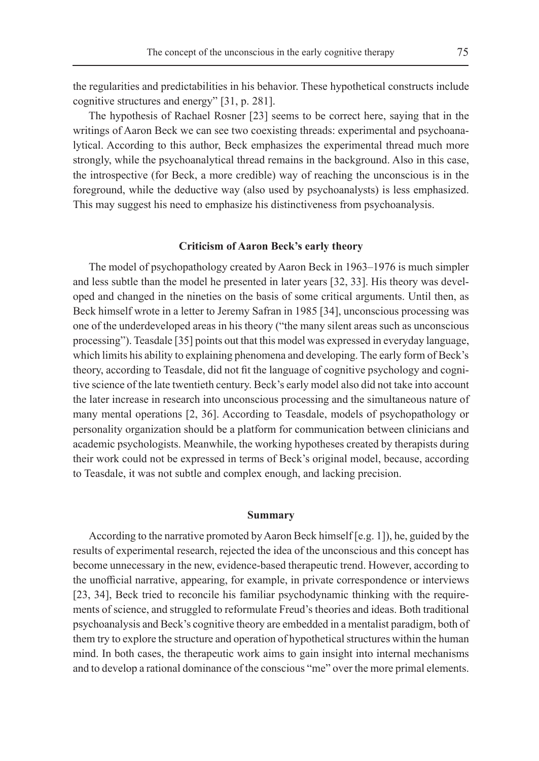the regularities and predictabilities in his behavior. These hypothetical constructs include cognitive structures and energy" [31, p. 281].

The hypothesis of Rachael Rosner [23] seems to be correct here, saying that in the writings of Aaron Beck we can see two coexisting threads: experimental and psychoanalytical. According to this author, Beck emphasizes the experimental thread much more strongly, while the psychoanalytical thread remains in the background. Also in this case, the introspective (for Beck, a more credible) way of reaching the unconscious is in the foreground, while the deductive way (also used by psychoanalysts) is less emphasized. This may suggest his need to emphasize his distinctiveness from psychoanalysis.

#### **Criticism of Aaron Beck's early theory**

The model of psychopathology created by Aaron Beck in 1963–1976 is much simpler and less subtle than the model he presented in later years [32, 33]. His theory was developed and changed in the nineties on the basis of some critical arguments. Until then, as Beck himself wrote in a letter to Jeremy Safran in 1985 [34], unconscious processing was one of the underdeveloped areas in his theory ("the many silent areas such as unconscious processing"). Teasdale [35] points out that this model was expressed in everyday language, which limits his ability to explaining phenomena and developing. The early form of Beck's theory, according to Teasdale, did not fit the language of cognitive psychology and cognitive science of the late twentieth century. Beck's early model also did not take into account the later increase in research into unconscious processing and the simultaneous nature of many mental operations [2, 36]. According to Teasdale, models of psychopathology or personality organization should be a platform for communication between clinicians and academic psychologists. Meanwhile, the working hypotheses created by therapists during their work could not be expressed in terms of Beck's original model, because, according to Teasdale, it was not subtle and complex enough, and lacking precision.

### **Summary**

According to the narrative promoted by Aaron Beck himself [e.g. 1]), he, guided by the results of experimental research, rejected the idea of the unconscious and this concept has become unnecessary in the new, evidence-based therapeutic trend. However, according to the unofficial narrative, appearing, for example, in private correspondence or interviews [23, 34], Beck tried to reconcile his familiar psychodynamic thinking with the requirements of science, and struggled to reformulate Freud's theories and ideas. Both traditional psychoanalysis and Beck's cognitive theory are embedded in a mentalist paradigm, both of them try to explore the structure and operation of hypothetical structures within the human mind. In both cases, the therapeutic work aims to gain insight into internal mechanisms and to develop a rational dominance of the conscious "me" over the more primal elements.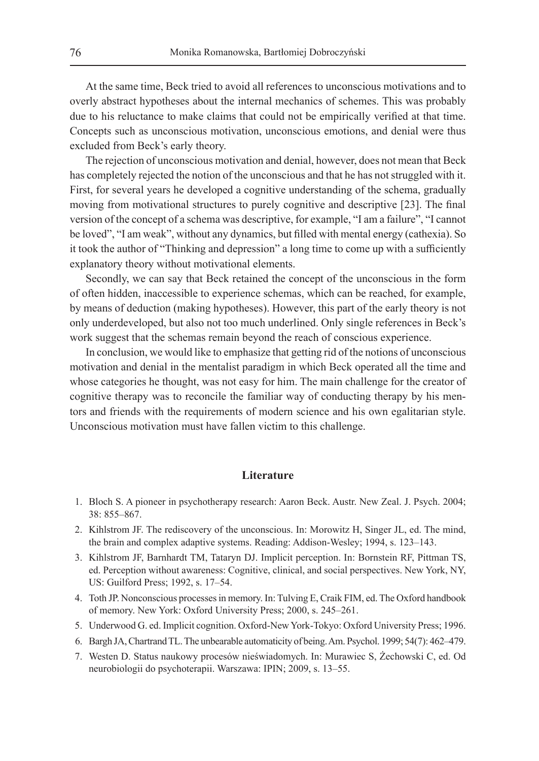At the same time, Beck tried to avoid all references to unconscious motivations and to overly abstract hypotheses about the internal mechanics of schemes. This was probably due to his reluctance to make claims that could not be empirically verified at that time. Concepts such as unconscious motivation, unconscious emotions, and denial were thus excluded from Beck's early theory.

The rejection of unconscious motivation and denial, however, does not mean that Beck has completely rejected the notion of the unconscious and that he has not struggled with it. First, for several years he developed a cognitive understanding of the schema, gradually moving from motivational structures to purely cognitive and descriptive [23]. The final version of the concept of a schema was descriptive, for example, "I am a failure", "I cannot be loved", "I am weak", without any dynamics, but filled with mental energy (cathexia). So it took the author of "Thinking and depression" a long time to come up with a sufficiently explanatory theory without motivational elements.

Secondly, we can say that Beck retained the concept of the unconscious in the form of often hidden, inaccessible to experience schemas, which can be reached, for example, by means of deduction (making hypotheses). However, this part of the early theory is not only underdeveloped, but also not too much underlined. Only single references in Beck's work suggest that the schemas remain beyond the reach of conscious experience.

In conclusion, we would like to emphasize that getting rid of the notions of unconscious motivation and denial in the mentalist paradigm in which Beck operated all the time and whose categories he thought, was not easy for him. The main challenge for the creator of cognitive therapy was to reconcile the familiar way of conducting therapy by his mentors and friends with the requirements of modern science and his own egalitarian style. Unconscious motivation must have fallen victim to this challenge.

## **Literature**

- 1. Bloch S. A pioneer in psychotherapy research: Aaron Beck. Austr. New Zeal. J. Psych. 2004; 38: 855–867.
- 2. Kihlstrom JF. The rediscovery of the unconscious. In: Morowitz H, Singer JL, ed. The mind, the brain and complex adaptive systems. Reading: Addison-Wesley; 1994, s. 123–143.
- 3. Kihlstrom JF, Barnhardt TM, Tataryn DJ. Implicit perception. In: Bornstein RF, Pittman TS, ed. Perception without awareness: Cognitive, clinical, and social perspectives. New York, NY, US: Guilford Press; 1992, s. 17–54.
- 4. Toth JP. Nonconscious processes in memory. In: Tulving E, Craik FIM, ed. The Oxford handbook of memory. New York: Oxford University Press; 2000, s. 245–261.
- 5. Underwood G. ed. Implicit cognition. Oxford-New York-Tokyo: Oxford University Press; 1996.
- 6. Bargh JA, Chartrand TL. The unbearable automaticity of being. Am. Psychol. 1999; 54(7): 462–479.
- 7. Westen D. Status naukowy procesów nieświadomych. In: Murawiec S, Żechowski C, ed. Od neurobiologii do psychoterapii. Warszawa: IPIN; 2009, s. 13–55.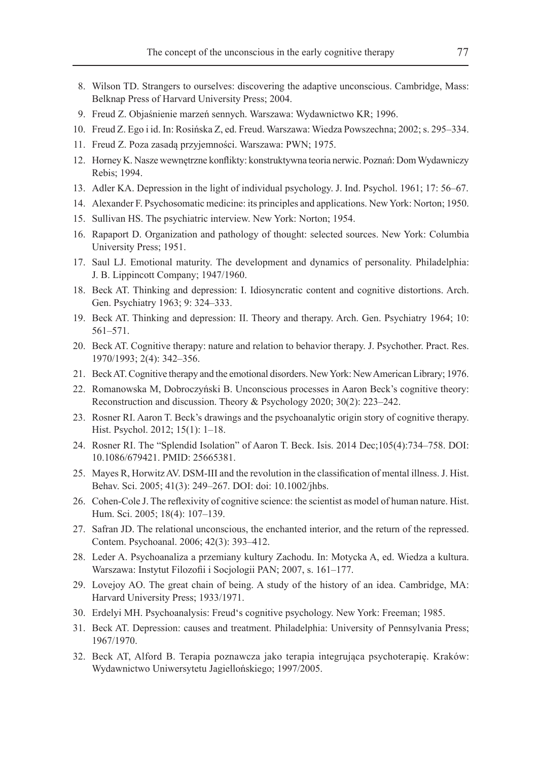- 8. Wilson TD. Strangers to ourselves: discovering the adaptive unconscious. Cambridge, Mass: Belknap Press of Harvard University Press; 2004.
- 9. Freud Z. Objaśnienie marzeń sennych. Warszawa: Wydawnictwo KR; 1996.
- 10. Freud Z. Ego i id. In: Rosińska Z, ed. Freud. Warszawa: Wiedza Powszechna; 2002; s. 295–334.
- 11. Freud Z. Poza zasadą przyjemności. Warszawa: PWN; 1975.
- 12. Horney K. Nasze wewnętrzne konflikty: konstruktywna teoria nerwic. Poznań: Dom Wydawniczy Rebis; 1994.
- 13. Adler KA. Depression in the light of individual psychology. J. Ind. Psychol. 1961; 17: 56–67.
- 14. Alexander F. Psychosomatic medicine: its principles and applications. New York: Norton; 1950.
- 15. Sullivan HS. The psychiatric interview. New York: Norton; 1954.
- 16. Rapaport D. Organization and pathology of thought: selected sources. New York: Columbia University Press; 1951.
- 17. Saul LJ. Emotional maturity. The development and dynamics of personality. Philadelphia: J. B. Lippincott Company; 1947/1960.
- 18. Beck AT. Thinking and depression: I. Idiosyncratic content and cognitive distortions. Arch. Gen. Psychiatry 1963; 9: 324–333.
- 19. Beck AT. Thinking and depression: II. Theory and therapy. Arch. Gen. Psychiatry 1964; 10: 561–571.
- 20. Beck AT. Cognitive therapy: nature and relation to behavior therapy. J. Psychother. Pract. Res. 1970/1993; 2(4): 342–356.
- 21. Beck AT. Cognitive therapy and the emotional disorders. New York: New American Library; 1976.
- 22. Romanowska M, Dobroczyński B. Unconscious processes in Aaron Beck's cognitive theory: Reconstruction and discussion. Theory & Psychology 2020; 30(2): 223–242.
- 23. Rosner RI. Aaron T. Beck's drawings and the psychoanalytic origin story of cognitive therapy. Hist. Psychol. 2012; 15(1): 1–18.
- 24. Rosner RI. The "Splendid Isolation" of Aaron T. Beck. Isis. 2014 Dec;105(4):734–758. DOI: 10.1086/679421. PMID: 25665381.
- 25. Mayes R, Horwitz AV. DSM-III and the revolution in the classification of mental illness. J. Hist. Behav. Sci. 2005; 41(3): 249–267. DOI: doi: 10.1002/jhbs.
- 26. Cohen-Cole J. The reflexivity of cognitive science: the scientist as model of human nature. Hist. Hum. Sci. 2005; 18(4): 107–139.
- 27. Safran JD. The relational unconscious, the enchanted interior, and the return of the repressed. Contem. Psychoanal. 2006; 42(3): 393–412.
- 28. Leder A. Psychoanaliza a przemiany kultury Zachodu. In: Motycka A, ed. Wiedza a kultura. Warszawa: Instytut Filozofii i Socjologii PAN; 2007, s. 161–177.
- 29. Lovejoy AO. The great chain of being. A study of the history of an idea. Cambridge, MA: Harvard University Press; 1933/1971.
- 30. Erdelyi MH. Psychoanalysis: Freud's cognitive psychology. New York: Freeman; 1985.
- 31. Beck AT. Depression: causes and treatment. Philadelphia: University of Pennsylvania Press; 1967/1970.
- 32. Beck AT, Alford B. Terapia poznawcza jako terapia integrująca psychoterapię. Kraków: Wydawnictwo Uniwersytetu Jagiellońskiego; 1997/2005.